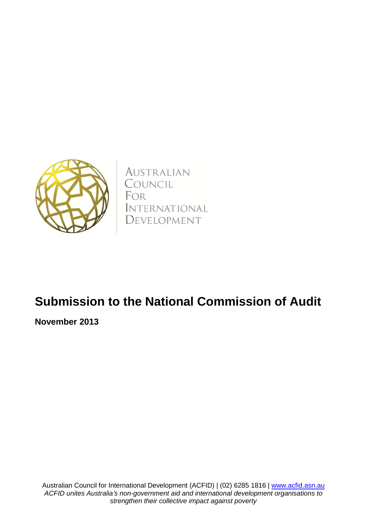

AUSTRALIAN COUNCIL FOR *INTERNATIONAL* DEVELOPMENT

# **Submission to the National Commission of Audit**

**November 2013**

Australian Council for International Development (ACFID) | (02) 6285 1816 | [www.acfid.asn.au](http://www.acfid.asn.au/) *ACFID unites Australia's non-government aid and international development organisations to strengthen their collective impact against poverty*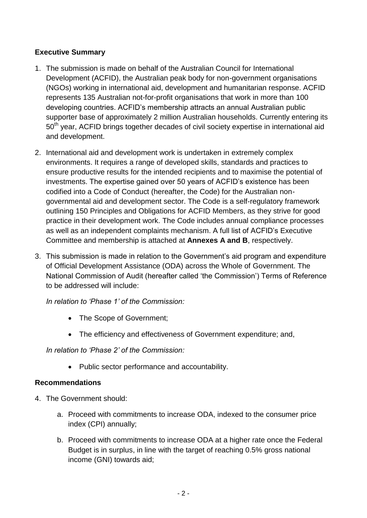## **Executive Summary**

- 1. The submission is made on behalf of the Australian Council for International Development (ACFID), the Australian peak body for non-government organisations (NGOs) working in international aid, development and humanitarian response. ACFID represents 135 Australian not-for-profit organisations that work in more than 100 developing countries. ACFID's membership attracts an annual Australian public supporter base of approximately 2 million Australian households. Currently entering its 50<sup>th</sup> year, ACFID brings together decades of civil society expertise in international aid and development.
- 2. International aid and development work is undertaken in extremely complex environments. It requires a range of developed skills, standards and practices to ensure productive results for the intended recipients and to maximise the potential of investments. The expertise gained over 50 years of ACFID's existence has been codified into a Code of Conduct (hereafter, the Code) for the Australian nongovernmental aid and development sector. The Code is a self-regulatory framework outlining 150 Principles and Obligations for ACFID Members, as they strive for good practice in their development work. The Code includes annual compliance processes as well as an independent complaints mechanism. A full list of ACFID's Executive Committee and membership is attached at **Annexes A and B**, respectively.
- 3. This submission is made in relation to the Government's aid program and expenditure of Official Development Assistance (ODA) across the Whole of Government. The National Commission of Audit (hereafter called 'the Commission') Terms of Reference to be addressed will include:

*In relation to 'Phase 1' of the Commission:*

- The Scope of Government;
- The efficiency and effectiveness of Government expenditure; and,

*In relation to 'Phase 2' of the Commission:* 

Public sector performance and accountability.

#### **Recommendations**

- 4. The Government should:
	- a. Proceed with commitments to increase ODA, indexed to the consumer price index (CPI) annually;
	- b. Proceed with commitments to increase ODA at a higher rate once the Federal Budget is in surplus, in line with the target of reaching 0.5% gross national income (GNI) towards aid;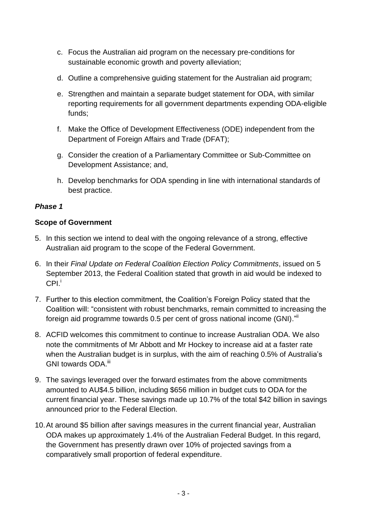- c. Focus the Australian aid program on the necessary pre-conditions for sustainable economic growth and poverty alleviation;
- d. Outline a comprehensive guiding statement for the Australian aid program;
- e. Strengthen and maintain a separate budget statement for ODA, with similar reporting requirements for all government departments expending ODA-eligible funds;
- f. Make the Office of Development Effectiveness (ODE) independent from the Department of Foreign Affairs and Trade (DFAT);
- g. Consider the creation of a Parliamentary Committee or Sub-Committee on Development Assistance; and,
- h. Develop benchmarks for ODA spending in line with international standards of best practice.

## *Phase 1*

#### **Scope of Government**

- 5. In this section we intend to deal with the ongoing relevance of a strong, effective Australian aid program to the scope of the Federal Government.
- 6. In their *Final Update on Federal Coalition Election Policy Commitments*, issued on 5 September 2013, the Federal Coalition stated that growth in aid would be indexed to  $\mathsf{CPI.}^{\mathsf{i}}$
- 7. Further to this election commitment, the Coalition's Foreign Policy stated that the Coalition will: "consistent with robust benchmarks, remain committed to increasing the foreign aid programme towards 0.5 per cent of gross national income (GNI)."
- 8. ACFID welcomes this commitment to continue to increase Australian ODA. We also note the commitments of Mr Abbott and Mr Hockey to increase aid at a faster rate when the Australian budget is in surplus, with the aim of reaching 0.5% of Australia's GNI towards ODA.<sup>iii</sup>
- 9. The savings leveraged over the forward estimates from the above commitments amounted to AU\$4.5 billion, including \$656 million in budget cuts to ODA for the current financial year. These savings made up 10.7% of the total \$42 billion in savings announced prior to the Federal Election.
- 10.At around \$5 billion after savings measures in the current financial year, Australian ODA makes up approximately 1.4% of the Australian Federal Budget. In this regard, the Government has presently drawn over 10% of projected savings from a comparatively small proportion of federal expenditure.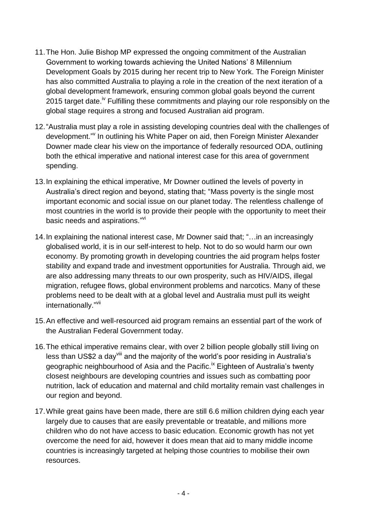- 11.The Hon. Julie Bishop MP expressed the ongoing commitment of the Australian Government to working towards achieving the United Nations' 8 Millennium Development Goals by 2015 during her recent trip to New York. The Foreign Minister has also committed Australia to playing a role in the creation of the next iteration of a global development framework, ensuring common global goals beyond the current 2015 target date.<sup>iv</sup> Fulfilling these commitments and playing our role responsibly on the global stage requires a strong and focused Australian aid program.
- 12."Australia must play a role in assisting developing countries deal with the challenges of development." In outlining his White Paper on aid, then Foreign Minister Alexander Downer made clear his view on the importance of federally resourced ODA, outlining both the ethical imperative and national interest case for this area of government spending.
- 13.In explaining the ethical imperative, Mr Downer outlined the levels of poverty in Australia's direct region and beyond, stating that; "Mass poverty is the single most important economic and social issue on our planet today. The relentless challenge of most countries in the world is to provide their people with the opportunity to meet their basic needs and aspirations."<sup>vi</sup>
- 14.In explaining the national interest case, Mr Downer said that; "…in an increasingly globalised world, it is in our self-interest to help. Not to do so would harm our own economy. By promoting growth in developing countries the aid program helps foster stability and expand trade and investment opportunities for Australia. Through aid, we are also addressing many threats to our own prosperity, such as HIV/AIDS, illegal migration, refugee flows, global environment problems and narcotics. Many of these problems need to be dealt with at a global level and Australia must pull its weight internationally."<sup>vii</sup>
- 15.An effective and well-resourced aid program remains an essential part of the work of the Australian Federal Government today.
- 16.The ethical imperative remains clear, with over 2 billion people globally still living on less than US\$2 a day<sup>viii</sup> and the majority of the world's poor residing in Australia's geographic neighbourhood of Asia and the Pacific.<sup>ix</sup> Eighteen of Australia's twenty closest neighbours are developing countries and issues such as combatting poor nutrition, lack of education and maternal and child mortality remain vast challenges in our region and beyond.
- 17.While great gains have been made, there are still 6.6 million children dying each year largely due to causes that are easily preventable or treatable, and millions more children who do not have access to basic education. Economic growth has not yet overcome the need for aid, however it does mean that aid to many middle income countries is increasingly targeted at helping those countries to mobilise their own resources.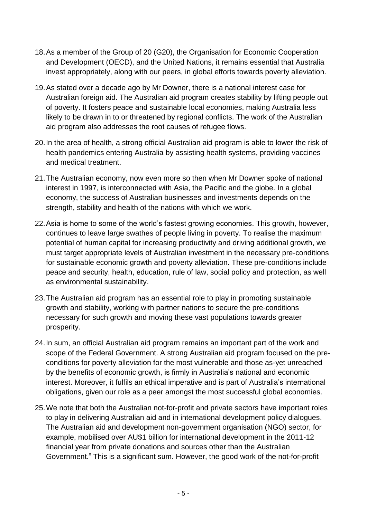- 18.As a member of the Group of 20 (G20), the Organisation for Economic Cooperation and Development (OECD), and the United Nations, it remains essential that Australia invest appropriately, along with our peers, in global efforts towards poverty alleviation.
- 19.As stated over a decade ago by Mr Downer, there is a national interest case for Australian foreign aid. The Australian aid program creates stability by lifting people out of poverty. It fosters peace and sustainable local economies, making Australia less likely to be drawn in to or threatened by regional conflicts. The work of the Australian aid program also addresses the root causes of refugee flows.
- 20.In the area of health, a strong official Australian aid program is able to lower the risk of health pandemics entering Australia by assisting health systems, providing vaccines and medical treatment.
- 21.The Australian economy, now even more so then when Mr Downer spoke of national interest in 1997, is interconnected with Asia, the Pacific and the globe. In a global economy, the success of Australian businesses and investments depends on the strength, stability and health of the nations with which we work.
- 22.Asia is home to some of the world's fastest growing economies. This growth, however, continues to leave large swathes of people living in poverty. To realise the maximum potential of human capital for increasing productivity and driving additional growth, we must target appropriate levels of Australian investment in the necessary pre-conditions for sustainable economic growth and poverty alleviation. These pre-conditions include peace and security, health, education, rule of law, social policy and protection, as well as environmental sustainability.
- 23.The Australian aid program has an essential role to play in promoting sustainable growth and stability, working with partner nations to secure the pre-conditions necessary for such growth and moving these vast populations towards greater prosperity.
- 24.In sum, an official Australian aid program remains an important part of the work and scope of the Federal Government. A strong Australian aid program focused on the preconditions for poverty alleviation for the most vulnerable and those as-yet unreached by the benefits of economic growth, is firmly in Australia's national and economic interest. Moreover, it fulfils an ethical imperative and is part of Australia's international obligations, given our role as a peer amongst the most successful global economies.
- 25.We note that both the Australian not-for-profit and private sectors have important roles to play in delivering Australian aid and in international development policy dialogues. The Australian aid and development non-government organisation (NGO) sector, for example, mobilised over AU\$1 billion for international development in the 2011-12 financial year from private donations and sources other than the Australian Government.<sup>x</sup> This is a significant sum. However, the good work of the not-for-profit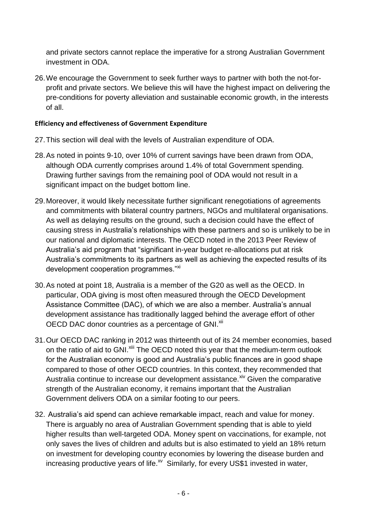and private sectors cannot replace the imperative for a strong Australian Government investment in ODA.

26.We encourage the Government to seek further ways to partner with both the not-forprofit and private sectors. We believe this will have the highest impact on delivering the pre-conditions for poverty alleviation and sustainable economic growth, in the interests of all.

#### **Efficiency and effectiveness of Government Expenditure**

- 27.This section will deal with the levels of Australian expenditure of ODA.
- 28.As noted in points 9-10, over 10% of current savings have been drawn from ODA, although ODA currently comprises around 1.4% of total Government spending. Drawing further savings from the remaining pool of ODA would not result in a significant impact on the budget bottom line.
- 29.Moreover, it would likely necessitate further significant renegotiations of agreements and commitments with bilateral country partners, NGOs and multilateral organisations. As well as delaying results on the ground, such a decision could have the effect of causing stress in Australia's relationships with these partners and so is unlikely to be in our national and diplomatic interests. The OECD noted in the 2013 Peer Review of Australia's aid program that "significant in-year budget re-allocations put at risk Australia's commitments to its partners as well as achieving the expected results of its development cooperation programmes."<sup>xi</sup>
- 30.As noted at point 18, Australia is a member of the G20 as well as the OECD. In particular, ODA giving is most often measured through the OECD Development Assistance Committee (DAC), of which we are also a member. Australia's annual development assistance has traditionally lagged behind the average effort of other OECD DAC donor countries as a percentage of GNI.<sup>xii</sup>
- 31.Our OECD DAC ranking in 2012 was thirteenth out of its 24 member economies, based on the ratio of aid to GNI.<sup>xiii</sup> The OECD noted this year that the medium-term outlook for the Australian economy is good and Australia's public finances are in good shape compared to those of other OECD countries. In this context, they recommended that Australia continue to increase our development assistance.<sup> $xiv$ </sup> Given the comparative strength of the Australian economy, it remains important that the Australian Government delivers ODA on a similar footing to our peers.
- 32. Australia's aid spend can achieve remarkable impact, reach and value for money. There is arguably no area of Australian Government spending that is able to yield higher results than well-targeted ODA. Money spent on vaccinations, for example, not only saves the lives of children and adults but is also estimated to yield an 18% return on investment for developing country economies by lowering the disease burden and increasing productive years of life. $^{x}$  Similarly, for every US\$1 invested in water,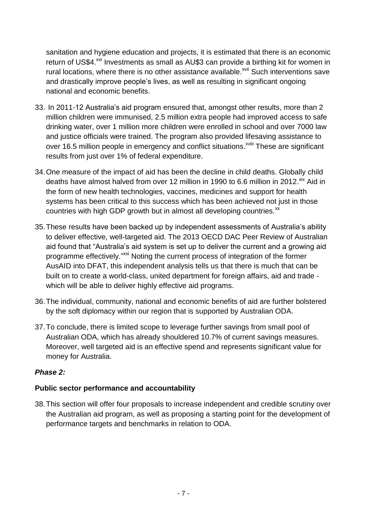sanitation and hygiene education and projects, it is estimated that there is an economic return of US\$4.<sup>xvi</sup> Investments as small as AU\$3 can provide a birthing kit for women in rural locations, where there is no other assistance available.<sup>xvii</sup> Such interventions save and drastically improve people's lives, as well as resulting in significant ongoing national and economic benefits.

- 33. In 2011-12 Australia's aid program ensured that, amongst other results, more than 2 million children were immunised, 2.5 million extra people had improved access to safe drinking water, over 1 million more children were enrolled in school and over 7000 law and justice officials were trained. The program also provided lifesaving assistance to over 16.5 million people in emergency and conflict situations.<sup>xviii</sup> These are significant results from just over 1% of federal expenditure.
- 34.One measure of the impact of aid has been the decline in child deaths. Globally child deaths have almost halved from over 12 million in 1990 to 6.6 million in 2012.<sup>xix</sup> Aid in the form of new health technologies, vaccines, medicines and support for health systems has been critical to this success which has been achieved not just in those countries with high GDP growth but in almost all developing countries.<sup>xx</sup>
- 35.These results have been backed up by independent assessments of Australia's ability to deliver effective, well-targeted aid. The 2013 OECD DAC Peer Review of Australian aid found that "Australia's aid system is set up to deliver the current and a growing aid programme effectively."<sup>xxi</sup> Noting the current process of integration of the former AusAID into DFAT, this independent analysis tells us that there is much that can be built on to create a world-class, united department for foreign affairs, aid and trade which will be able to deliver highly effective aid programs.
- 36.The individual, community, national and economic benefits of aid are further bolstered by the soft diplomacy within our region that is supported by Australian ODA.
- 37.To conclude, there is limited scope to leverage further savings from small pool of Australian ODA, which has already shouldered 10.7% of current savings measures. Moreover, well targeted aid is an effective spend and represents significant value for money for Australia.

## *Phase 2:*

## **Public sector performance and accountability**

38.This section will offer four proposals to increase independent and credible scrutiny over the Australian aid program, as well as proposing a starting point for the development of performance targets and benchmarks in relation to ODA.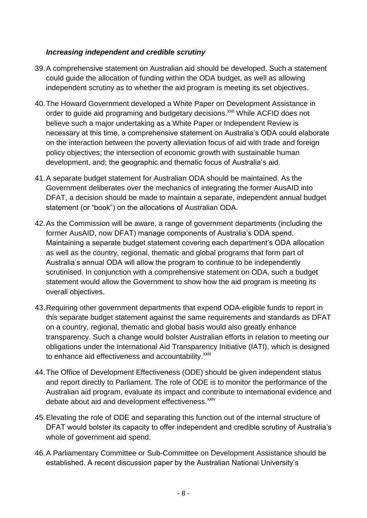## *Increasing independent and credible scrutiny*

- 39.A comprehensive statement on Australian aid should be developed. Such a statement could guide the allocation of funding within the ODA budget, as well as allowing independent scrutiny as to whether the aid program is meeting its set objectives.
- 40.The Howard Government developed a White Paper on Development Assistance in order to guide aid programing and budgetary decisions.<sup>xxii</sup> While ACFID does not believe such a major undertaking as a White Paper or Independent Review is necessary at this time, a comprehensive statement on Australia's ODA could elaborate on the interaction between the poverty alleviation focus of aid with trade and foreign policy objectives; the intersection of economic growth with sustainable human development, and; the geographic and thematic focus of Australia's aid.
- 41.A separate budget statement for Australian ODA should be maintained. As the Government deliberates over the mechanics of integrating the former AusAID into DFAT, a decision should be made to maintain a separate, independent annual budget statement (or "book") on the allocations of Australian ODA.
- 42.As the Commission will be aware, a range of government departments (including the former AusAID, now DFAT) manage components of Australia's ODA spend. Maintaining a separate budget statement covering each department's ODA allocation as well as the country, regional, thematic and global programs that form part of Australia's annual ODA will allow the program to continue to be independently scrutinised. In conjunction with a comprehensive statement on ODA, such a budget statement would allow the Government to show how the aid program is meeting its overall objectives.
- 43.Requiring other government departments that expend ODA-eligible funds to report in this separate budget statement against the same requirements and standards as DFAT on a country, regional, thematic and global basis would also greatly enhance transparency. Such a change would bolster Australian efforts in relation to meeting our obligations under the International Aid Transparency Initiative (IATI), which is designed to enhance aid effectiveness and accountability.<sup>xxiii</sup>
- 44.The Office of Development Effectiveness (ODE) should be given independent status and report directly to Parliament. The role of ODE is to monitor the performance of the Australian aid program, evaluate its impact and contribute to international evidence and debate about aid and development effectiveness.<sup>xxiv</sup>
- 45.Elevating the role of ODE and separating this function out of the internal structure of DFAT would bolster its capacity to offer independent and credible scrutiny of Australia's whole of government aid spend.
- 46.A Parliamentary Committee or Sub-Committee on Development Assistance should be established. A recent discussion paper by the Australian National University's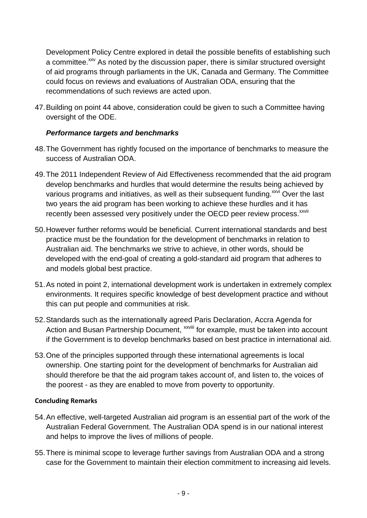Development Policy Centre explored in detail the possible benefits of establishing such a committee.<sup>xxv</sup> As noted by the discussion paper, there is similar structured oversight of aid programs through parliaments in the UK, Canada and Germany. The Committee could focus on reviews and evaluations of Australian ODA, ensuring that the recommendations of such reviews are acted upon.

47.Building on point 44 above, consideration could be given to such a Committee having oversight of the ODE.

#### *Performance targets and benchmarks*

- 48.The Government has rightly focused on the importance of benchmarks to measure the success of Australian ODA.
- 49.The 2011 Independent Review of Aid Effectiveness recommended that the aid program develop benchmarks and hurdles that would determine the results being achieved by various programs and initiatives, as well as their subsequent funding.<sup>xxvi</sup> Over the last two years the aid program has been working to achieve these hurdles and it has recently been assessed very positively under the OECD peer review process.<sup>xxvii</sup>
- 50.However further reforms would be beneficial. Current international standards and best practice must be the foundation for the development of benchmarks in relation to Australian aid. The benchmarks we strive to achieve, in other words, should be developed with the end-goal of creating a gold-standard aid program that adheres to and models global best practice.
- 51.As noted in point 2, international development work is undertaken in extremely complex environments. It requires specific knowledge of best development practice and without this can put people and communities at risk.
- 52.Standards such as the internationally agreed Paris Declaration, Accra Agenda for Action and Busan Partnership Document, <sup>xxviii</sup> for example, must be taken into account if the Government is to develop benchmarks based on best practice in international aid.
- 53.One of the principles supported through these international agreements is local ownership. One starting point for the development of benchmarks for Australian aid should therefore be that the aid program takes account of, and listen to, the voices of the poorest - as they are enabled to move from poverty to opportunity.

#### **Concluding Remarks**

- 54.An effective, well-targeted Australian aid program is an essential part of the work of the Australian Federal Government. The Australian ODA spend is in our national interest and helps to improve the lives of millions of people.
- 55.There is minimal scope to leverage further savings from Australian ODA and a strong case for the Government to maintain their election commitment to increasing aid levels.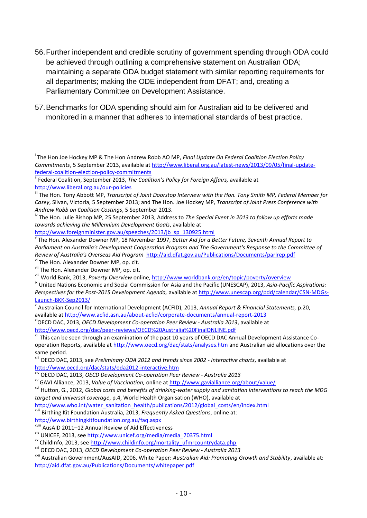- 56.Further independent and credible scrutiny of government spending through ODA could be achieved through outlining a comprehensive statement on Australian ODA; maintaining a separate ODA budget statement with similar reporting requirements for all departments; making the ODE independent from DFAT; and, creating a Parliamentary Committee on Development Assistance.
- 57.Benchmarks for ODA spending should aim for Australian aid to be delivered and monitored in a manner that adheres to international standards of best practice.

[http://www.foreignminister.gov.au/speeches/2013/jb\\_sp\\_130925.html](http://www.foreignminister.gov.au/speeches/2013/jb_sp_130925.html)

vi The Hon. Alexander Downer MP, op. cit.

**.** 

<http://www.birthingkitfoundation.org.au/faq.aspx>

xviii AusAID 2011–12 Annual Review of Aid Effectiveness

<sup>xx</sup> ChildInfo, 2013, see [http://www.childinfo.org/mortality\\_ufmrcountrydata.php](http://www.childinfo.org/mortality_ufmrcountrydata.php)

i The Hon Joe Hockey MP & The Hon Andrew Robb AO MP, *Final Update On Federal Coalition Election Policy Commitments*, 5 September 2013, available at [http://www.liberal.org.au/latest-news/2013/09/05/final-update](http://www.liberal.org.au/latest-news/2013/09/05/final-update-federal-coalition-election-policy-commitments)[federal-coalition-election-policy-commitments](http://www.liberal.org.au/latest-news/2013/09/05/final-update-federal-coalition-election-policy-commitments) 

ii Federal Coalition, September 2013, *The Coalition's Policy for Foreign Affairs,* available at <http://www.liberal.org.au/our-policies>

<sup>&</sup>lt;sup>iii</sup> The Hon. Tony Abbott MP, *Transcript of Joint Doorstop Interview with the Hon. Tony Smith MP, Federal Member for Casey*, Silvan, Victoria, 5 September 2013; and The Hon. Joe Hockey MP, *Transcript of Joint Press Conference with Andrew Robb on Coalition Costings*, 5 September 2013.

iv The Hon. Julie Bishop MP, 25 September 2013, Address to *The Special Event in 2013 to follow up efforts made towards achieving the Millennium Development Goals*, available at

v The Hon. Alexander Downer MP, 18 November 1997, *Better Aid for a Better Future, Seventh Annual Report to Parliament on Australia's Development Cooperation Program and The Government's Response to the Committee of Review of Australia's Overseas Aid Program* <http://aid.dfat.gov.au/Publications/Documents/parlrep.pdf>

vii The Hon. Alexander Downer MP, op. cit.

viii World Bank, 2013, *Poverty Overview* online,<http://www.worldbank.org/en/topic/poverty/overview>

ix United Nations Economic and Social Commission for Asia and the Pacific (UNESCAP), 2013, *Asia-Pacific Aspirations: Perspectives for the Post-2015 Development Agenda,* available a[t http://www.unescap.org/pdd/calendar/CSN-MDGs-](http://www.unescap.org/pdd/calendar/CSN-MDGs-Launch-BKK-Sep2013/)[Launch-BKK-Sep2013/](http://www.unescap.org/pdd/calendar/CSN-MDGs-Launch-BKK-Sep2013/)

x Australian Council for International Development (ACFID), 2013, *Annual Report & Financial Statements,* p.20, available at<http://www.acfid.asn.au/about-acfid/corporate-documents/annual-report-2013> xiOECD DAC, 2013, *OECD Development Co-operation Peer Review - Australia 2013*, available at <http://www.oecd.org/dac/peer-reviews/OECD%20Australia%20FinalONLINE.pdf>

This can be seen through an examination of the past 10 years of OECD DAC Annual Development Assistance Cooperation Reports, available at<http://www.oecd.org/dac/stats/analyses.htm> and Australian aid allocations over the

same period. xiii OECD DAC, 2013, see *Preliminary ODA 2012 and trends since 2002 - Interactive charts*, available at <http://www.oecd.org/dac/stats/oda2012-interactive.htm>

xiv OECD DAC, 2013, *OECD Development Co-operation Peer Review - Australia 2013*

xv GAVI Alliance, 2013, *Value of Vaccination,* online at<http://www.gavialliance.org/about/value/>

xvi Hutton, G., 2012, *Global costs and benefits of drinking-water supply and sanitation interventions to reach the MDG target and universal coverage*, p.4, World Health Organisation (WHO), available at

[http://www.who.int/water\\_sanitation\\_health/publications/2012/global\\_costs/en/index.html](http://www.who.int/water_sanitation_health/publications/2012/global_costs/en/index.html)

xvii Birthing Kit Foundation Australia, 2013, *Frequently Asked Questions*, online at:

xix UNICEF, 2013, see [http://www.unicef.org/media/media\\_70375.html](http://www.unicef.org/media/media_70375.html)

xxi OECD DAC, 2013, *OECD Development Co-operation Peer Review - Australia 2013*

xxii Australian Government/AusAID, 2006, White Paper: *Australian Aid: Promoting Growth and Stability*, available at: <http://aid.dfat.gov.au/Publications/Documents/whitepaper.pdf>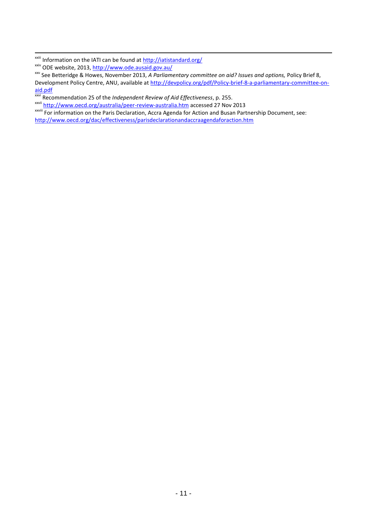1

xxvi Recommendation 25 of the *Independent Review of Aid Effectiveness*, p. 255.

xxvii <http://www.oecd.org/australia/peer-review-australia.htm> accessed 27 Nov 2013

xxviii For information on the Paris Declaration, Accra Agenda for Action and Busan Partnership Document, see: <http://www.oecd.org/dac/effectiveness/parisdeclarationandaccraagendaforaction.htm>

<sup>&</sup>lt;sup>xxiii</sup> Information on the IATI can be found at **http://iatistandard.org/** 

xxiv ODE website, 2013,<http://www.ode.ausaid.gov.au/>

xxv See Betteridge & Howes, November 2013, *A Parliamentary committee on aid? Issues and options,* Policy Brief 8, Development Policy Centre, ANU, available at [http://devpolicy.org/pdf/Policy-brief-8-a-parliamentary-committee-on](http://devpolicy.org/pdf/Policy-brief-8-a-parliamentary-committee-on-aid.pdf)[aid.pdf](http://devpolicy.org/pdf/Policy-brief-8-a-parliamentary-committee-on-aid.pdf)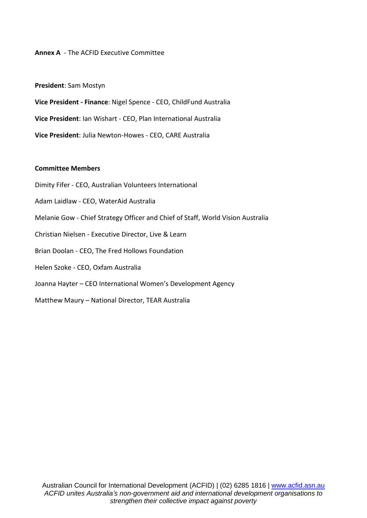#### **Annex A** - The ACFID Executive Committee

#### **President**: Sam Mostyn

**Vice President - Finance**: Nigel Spence - CEO, ChildFund Australia **Vice President**: Ian Wishart - CEO, Plan International Australia

**Vice President**: Julia Newton-Howes - CEO, CARE Australia

#### **Committee Members**

- Dimity Fifer CEO, Australian Volunteers International
- Adam Laidlaw CEO, WaterAid Australia
- Melanie Gow Chief Strategy Officer and Chief of Staff, World Vision Australia
- Christian Nielsen Executive Director, Live & Learn
- Brian Doolan CEO, The Fred Hollows Foundation
- Helen Szoke CEO, Oxfam Australia
- Joanna Hayter CEO International Women's Development Agency
- Matthew Maury National Director, TEAR Australia